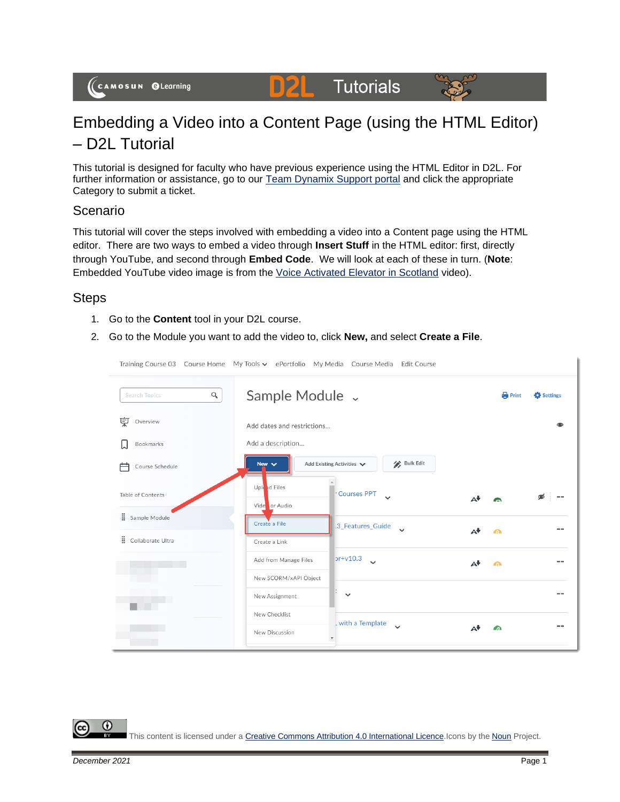#### **Tutorials** DZE



# Embedding a Video into a Content Page (using the HTML Editor) – D2L Tutorial

This tutorial is designed for faculty who have previous experience using the HTML Editor in D2L. For further information or assistance, go to our **Team Dynamix Support portal** and click the appropriate Category to submit a ticket.

# Scenario

This tutorial will cover the steps involved with embedding a video into a Content page using the HTML editor. There are two ways to embed a video through **Insert Stuff** in the HTML editor: first, directly through YouTube, and second through **Embed Code**. We will look at each of these in turn. (**Note**: Embedded YouTube video image is from the [Voice Activated Elevator in Scotland](https://www.youtube.com/watch?v=SqbnRD9qHZQ) video).

## **Steps**

- 1. Go to the **Content** tool in your D2L course.
- 2. Go to the Module you want to add the video to, click **New,** and select **Create a File**.

Training Course 02, Course Home, My Tools : postfolio, My Modia, Course Modia, Edit Course

|                           | Training Course OS Course Home TVI Tools V EPORTIONO TVI PREGIA COURSE Media Edit Course |                            |
|---------------------------|------------------------------------------------------------------------------------------|----------------------------|
| $\alpha$<br>Search Topics | Sample Module v                                                                          | <b>Print</b><br>Settings   |
| 宲<br>Overview             | Add dates and restrictions                                                               | ൈ                          |
| Bookmarks                 | Add a description                                                                        |                            |
| ⇔<br>Course Schedule      | <b>Bulk Edit</b><br>Add Existing Activities V<br>New $\vee$                              |                            |
| Table of Contents         | Uple ad Files<br>Courses PPT<br>$\checkmark$<br>Vide or Audio                            | $\mathbf{A}$               |
| : Sample Module           | Create a File<br>.3 Features Guide<br>$\checkmark$                                       |                            |
| Ħ.<br>Collaborate Ultra   | Create a Link                                                                            | $A^{\dagger}$<br>$\bullet$ |
|                           | $pr+v10.3$<br>Add from Manage Files<br>$\ddot{\phantom{0}}$                              | $\mathbf{A}$<br>$\bullet$  |
|                           | New SCORM/xAPI Object                                                                    |                            |
|                           | $\checkmark$<br>New Assignment                                                           |                            |
|                           | New Checklist<br>. with a Template                                                       |                            |
|                           | $\checkmark$<br>New Discussion                                                           | ΑV<br>$\Omega$             |
|                           |                                                                                          |                            |

This content is licensed under [a Creative Commons Attribution 4.0 International Licence.I](https://creativecommons.org/licenses/by/4.0/)cons by the [Noun](https://creativecommons.org/website-icons/) Project.

G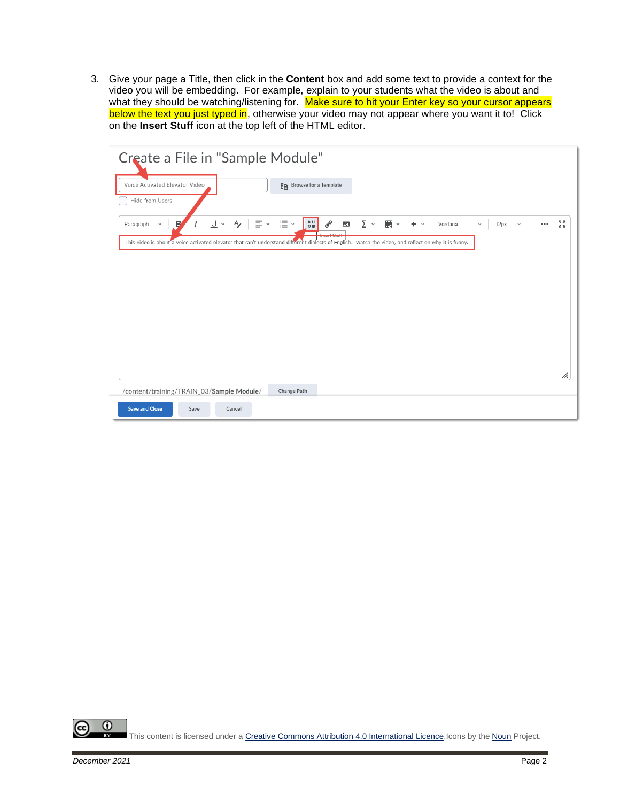3. Give your page a Title, then click in the **Content** box and add some text to provide a context for the video you will be embedding. For example, explain to your students what the video is about and what they should be watching/listening for. Make sure to hit your Enter key so your cursor appears what they should be watching/listening for. Make sure to hit your Enter key so your cursor appears below the text you just typed in, otherwise your video may not appear where you want it to! Click on the **Insert Stuff** icon at the top left of the HTML editor.

| Create a File in "Sample Module"                                                                                                                     |                                                                                                                 |                                               |                                                |
|------------------------------------------------------------------------------------------------------------------------------------------------------|-----------------------------------------------------------------------------------------------------------------|-----------------------------------------------|------------------------------------------------|
| Voice Activated Elevator Video                                                                                                                       | En Browse for a Template                                                                                        |                                               |                                                |
| Hide from Users                                                                                                                                      |                                                                                                                 |                                               |                                                |
| $\equiv$ $\sim$<br>$\underline{\mathsf{U}}$ $\vee$<br>$\mathsf{A}_{\mathscr{L}}$<br>Ι<br>в<br>$\checkmark$<br>Paragraph                              | $rac{b}{c}$<br>$\mathbf{u} \equiv \mathbf{v}$<br>$\mathcal{C}^{\rho}$<br>$\overline{\mathbf{z}}$<br>$200 - 100$ | 觀 ▽<br>$\sum$ $\sim$<br>$+$ $\vee$<br>Verdana | 5G<br>12px<br>$\checkmark$<br>$\checkmark$<br> |
| This video is about a voice activated elevator that can't understand different dialects of English. Watch the video, and reflect on why it is funny. | <b>INSURANCES</b>                                                                                               |                                               |                                                |
|                                                                                                                                                      |                                                                                                                 |                                               |                                                |
|                                                                                                                                                      |                                                                                                                 |                                               |                                                |
|                                                                                                                                                      |                                                                                                                 |                                               |                                                |
|                                                                                                                                                      |                                                                                                                 |                                               |                                                |
|                                                                                                                                                      |                                                                                                                 |                                               |                                                |
|                                                                                                                                                      |                                                                                                                 |                                               |                                                |
|                                                                                                                                                      |                                                                                                                 |                                               |                                                |
|                                                                                                                                                      |                                                                                                                 |                                               | h.                                             |
| /content/training/TRAIN_03/Sample Module/                                                                                                            | Change Path                                                                                                     |                                               |                                                |
| <b>Save and Close</b><br>Save<br>Cancel                                                                                                              |                                                                                                                 |                                               |                                                |

 $\odot$ This content is licensed under [a Creative Commons Attribution 4.0 International Licence.I](https://creativecommons.org/licenses/by/4.0/)cons by the [Noun](https://creativecommons.org/website-icons/) Project.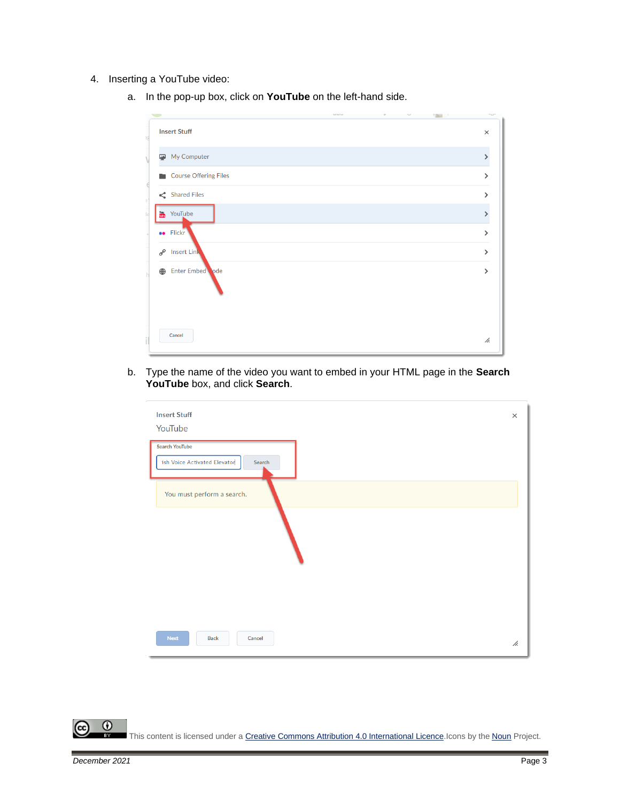- 4. Inserting a YouTube video:
	- a. In the pop-up box, click on **YouTube** on the left-hand side.



b. Type the name of the video you want to embed in your HTML page in the **Search YouTube** box, and click **Search**.

| <b>Insert Stuff</b><br>YouTube                                  | $\times$ |
|-----------------------------------------------------------------|----------|
| <b>Search YouTube</b><br>ish Voice Activated Elevator<br>Search |          |
| You must perform a search.                                      |          |
|                                                                 |          |
|                                                                 |          |
|                                                                 |          |
| <b>Next</b><br><b>Back</b><br>Cancel                            | h.       |

This content is licensed under [a Creative Commons Attribution 4.0 International Licence.I](https://creativecommons.org/licenses/by/4.0/)cons by the [Noun](https://creativecommons.org/website-icons/) Project.

 $\odot$ 

r.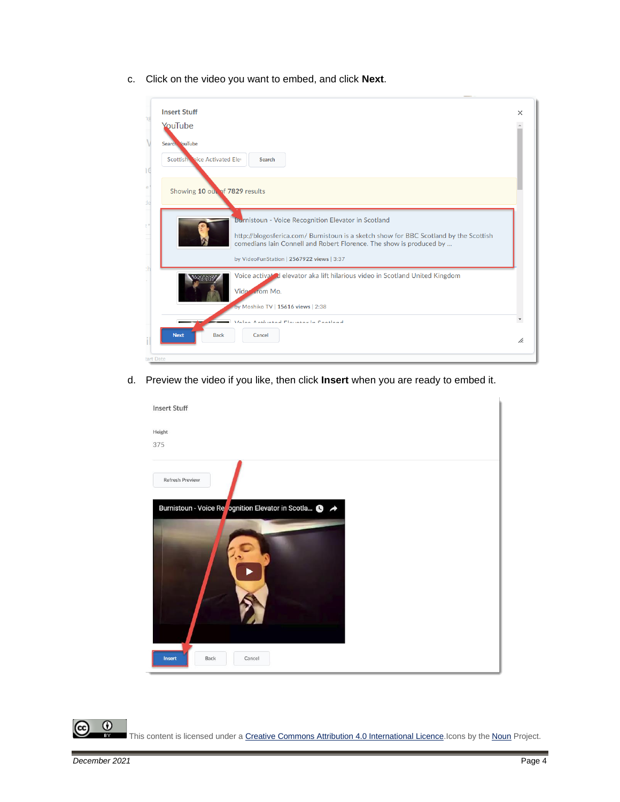c. Click on the video you want to embed, and click **Next**.



d. Preview the video if you like, then click **Insert** when you are ready to embed it.



 $\odot$ 

This content is licensed under [a Creative Commons Attribution 4.0 International Licence.I](https://creativecommons.org/licenses/by/4.0/)cons by the [Noun](https://creativecommons.org/website-icons/) Project.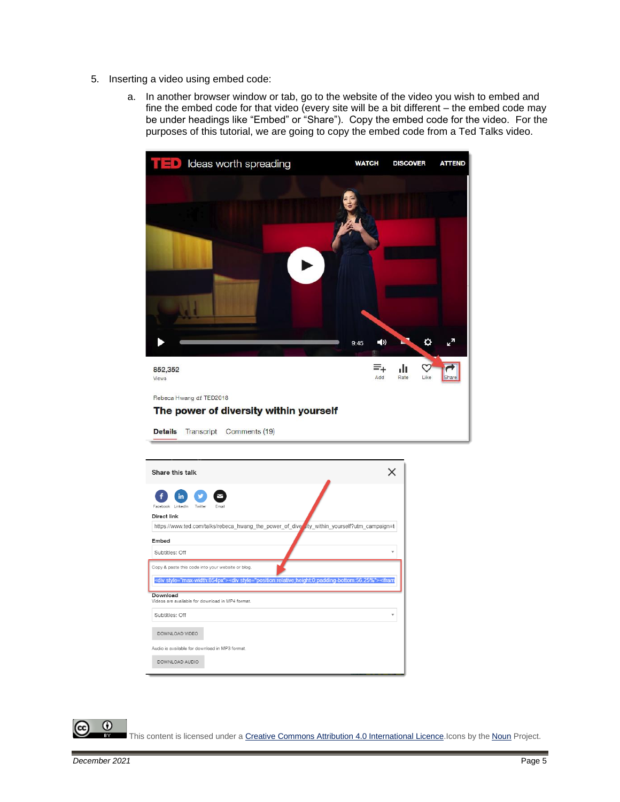- 5. Inserting a video using embed code:
	- a. In another browser window or tab, go to the website of the video you wish to embed and fine the embed code for that video (every site will be a bit different – the embed code may be under headings like "Embed" or "Share"). Copy the embed code for the video. For the purposes of this tutorial, we are going to copy the embed code from a Ted Talks video.



| Share this talk                                                                                                                                                                              |  |
|----------------------------------------------------------------------------------------------------------------------------------------------------------------------------------------------|--|
| in<br>LinkedIn<br>Facebook<br>Twitter<br>Fmail                                                                                                                                               |  |
| Direct link                                                                                                                                                                                  |  |
| https://www.ted.com/talks/rebeca_hwang_the_power_of_diversity_within_yourself?utm_campaign=t                                                                                                 |  |
| Embed                                                                                                                                                                                        |  |
| Subtitles: Off                                                                                                                                                                               |  |
| Copy & paste this code into your website or blog.<br><div style="max-width:854px"><div style="position:relative;height:0;padding-bottom:56.25%"><ifram< td=""><td></td></ifram<></div></div> |  |
| Download<br>Videos are available for download in MP4 format.                                                                                                                                 |  |
|                                                                                                                                                                                              |  |
| Subtitles: Off<br>٠                                                                                                                                                                          |  |
| DOWNLOAD VIDEO                                                                                                                                                                               |  |
| Audio is available for download in MP3 format.                                                                                                                                               |  |
| DOWNLOAD AUDIO                                                                                                                                                                               |  |

This content is licensed under [a Creative Commons Attribution 4.0 International Licence.I](https://creativecommons.org/licenses/by/4.0/)cons by the [Noun](https://creativecommons.org/website-icons/) Project.

 $\odot$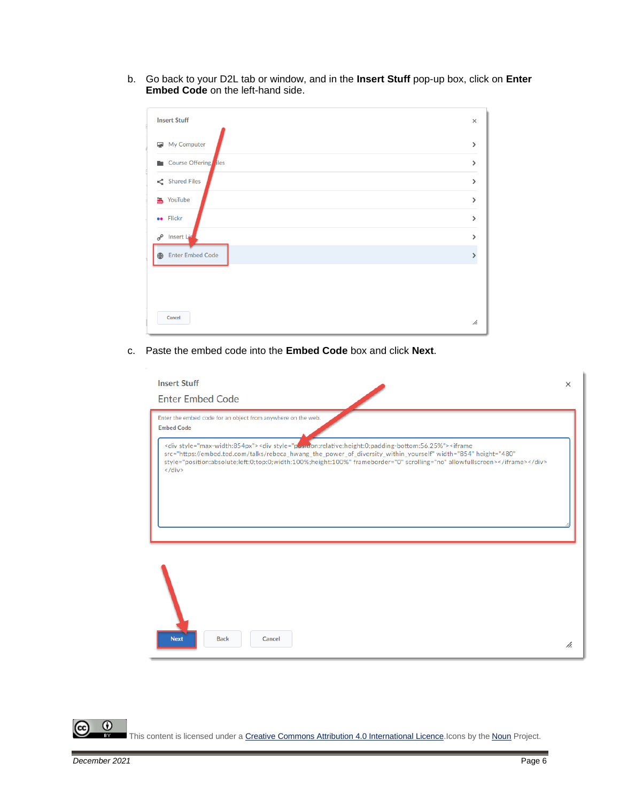b. Go back to your D2L tab or window, and in the **Insert Stuff** pop-up box, click on **Enter Embed Code** on the left-hand side.

| <b>Insert Stuff</b>     | $\times$      |
|-------------------------|---------------|
| My Computer<br>₽        | $\rightarrow$ |
| Course Offering iles    | $\mathcal{P}$ |
| $\leq$ Shared Files     | $\mathcal{E}$ |
| Tou YouTube             | $\mathcal{E}$ |
| <b>ee</b> Flickr        | $\mathcal{E}$ |
| 8 Insert Line           | >             |
| <b>Enter Embed Code</b> |               |
|                         |               |
|                         |               |
| Cancel                  | //.           |

c. Paste the embed code into the **Embed Code** box and click **Next**.

| <b>Insert Stuff</b><br><b>Enter Embed Code</b>                                                                                                                                                                                                                                                                                                                                                                     | $\times$ |
|--------------------------------------------------------------------------------------------------------------------------------------------------------------------------------------------------------------------------------------------------------------------------------------------------------------------------------------------------------------------------------------------------------------------|----------|
| Enter the embed code for an object from anywhere on the web.<br><b>Embed Code</b>                                                                                                                                                                                                                                                                                                                                  |          |
| <div style="max-width:854px"><div style="position:relative;height:0;padding-bottom:56.25%"><iframe<br>src="https://embed.ted.com/talks/rebeca_hwang_the_power_of_diversity_within_yourself" width="854" height="480"<br/>style="position:absolute;left:0;top:0;width:100%;height:100%" frameborder="0" scrolling="no" allowfullscreen&gt;</iframe<br></div><br/><math>\langle</math>/div<math>\rangle</math></div> |          |
| <b>Next</b><br><b>Back</b><br>Cancel                                                                                                                                                                                                                                                                                                                                                                               | h.       |

 $\overline{0}$ This content is licensed under [a Creative Commons Attribution 4.0 International Licence.I](https://creativecommons.org/licenses/by/4.0/)cons by the [Noun](https://creativecommons.org/website-icons/) Project.

(cc